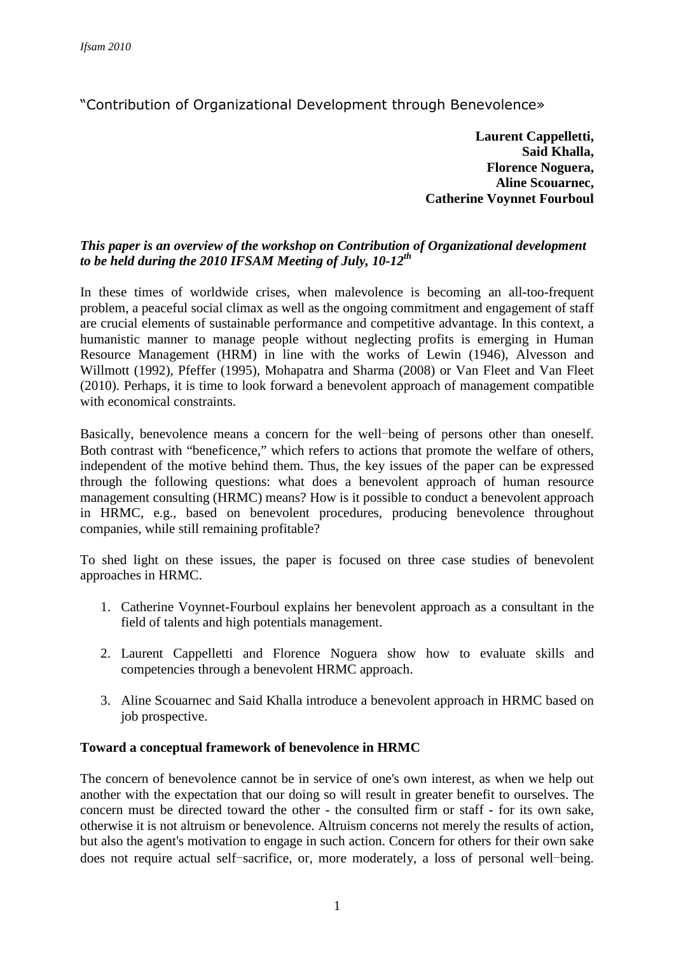"Contribution of Organizational Development through Benevolence»

**Laurent Cappelletti, Said Khalla, Florence Noguera, Aline Scouarnec, Catherine Voynnet Fourboul**

# *This paper is an overview of the workshop on Contribution of Organizational development to be held during the 2010 IFSAM Meeting of July, 10-12th*

In these times of worldwide crises, when malevolence is becoming an all-too-frequent problem, a peaceful social climax as well as the ongoing commitment and engagement of staff are crucial elements of sustainable performance and competitive advantage. In this context, a humanistic manner to manage people without neglecting profits is emerging in Human Resource Management (HRM) in line with the works of Lewin (1946), Alvesson and Willmott (1992), Pfeffer (1995), Mohapatra and Sharma (2008) or Van Fleet and Van Fleet (2010). Perhaps, it is time to look forward a benevolent approach of management compatible with economical constraints.

Basically, benevolence means a concern for the well-being of persons other than oneself. Both contrast with "beneficence," which refers to actions that promote the welfare of others, independent of the motive behind them. Thus, the key issues of the paper can be expressed through the following questions: what does a benevolent approach of human resource management consulting (HRMC) means? How is it possible to conduct a benevolent approach in HRMC, e.g., based on benevolent procedures, producing benevolence throughout companies, while still remaining profitable?

To shed light on these issues, the paper is focused on three case studies of benevolent approaches in HRMC.

- 1. Catherine Voynnet-Fourboul explains her benevolent approach as a consultant in the field of talents and high potentials management.
- 2. Laurent Cappelletti and Florence Noguera show how to evaluate skills and competencies through a benevolent HRMC approach.
- 3. Aline Scouarnec and Said Khalla introduce a benevolent approach in HRMC based on job prospective.

## **Toward a conceptual framework of benevolence in HRMC**

The concern of benevolence cannot be in service of one's own interest, as when we help out another with the expectation that our doing so will result in greater benefit to ourselves. The concern must be directed toward the other - the consulted firm or staff - for its own sake, otherwise it is not altruism or benevolence. Altruism concerns not merely the results of action, but also the agent's motivation to engage in such action. Concern for others for their own sake does not require actual self-sacrifice, or, more moderately, a loss of personal well-being.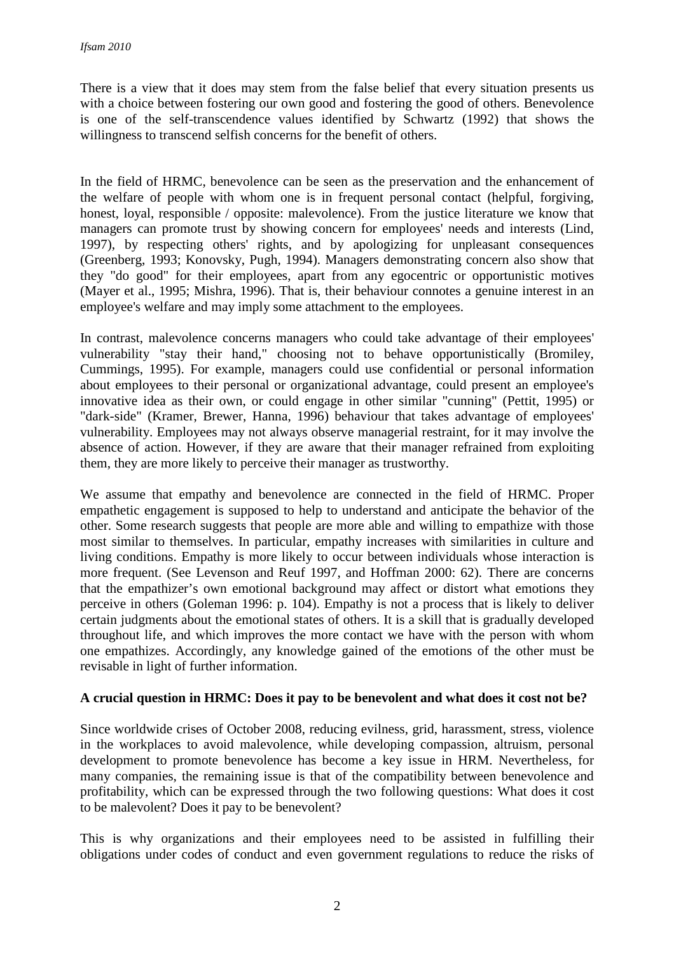There is a view that it does may stem from the false belief that every situation presents us with a choice between fostering our own good and fostering the good of others. Benevolence is one of the self-transcendence values identified by Schwartz (1992) that shows the willingness to transcend selfish concerns for the benefit of others.

In the field of HRMC, benevolence can be seen as the preservation and the enhancement of the welfare of people with whom one is in frequent personal contact (helpful, forgiving, honest, loyal, responsible / opposite: malevolence). From the justice literature we know that managers can promote trust by showing concern for employees' needs and interests (Lind, 1997), by respecting others' rights, and by apologizing for unpleasant consequences (Greenberg, 1993; Konovsky, Pugh, 1994). Managers demonstrating concern also show that they "do good" for their employees, apart from any egocentric or opportunistic motives (Mayer et al., 1995; Mishra, 1996). That is, their behaviour connotes a genuine interest in an employee's welfare and may imply some attachment to the employees.

In contrast, malevolence concerns managers who could take advantage of their employees' vulnerability "stay their hand," choosing not to behave opportunistically (Bromiley, Cummings, 1995). For example, managers could use confidential or personal information about employees to their personal or organizational advantage, could present an employee's innovative idea as their own, or could engage in other similar "cunning" (Pettit, 1995) or "dark-side" (Kramer, Brewer, Hanna, 1996) behaviour that takes advantage of employees' vulnerability. Employees may not always observe managerial restraint, for it may involve the absence of action. However, if they are aware that their manager refrained from exploiting them, they are more likely to perceive their manager as trustworthy.

We assume that empathy and benevolence are connected in the field of HRMC. Proper empathetic engagement is supposed to help to understand and anticipate the behavior of the other. Some research suggests that people are more able and willing to empathize with those most similar to themselves. In particular, empathy increases with similarities in culture and living conditions. Empathy is more likely to occur between individuals whose interaction is more frequent. (See Levenson and Reuf 1997, and Hoffman 2000: 62). There are concerns that the empathizer's own emotional background may affect or distort what emotions they perceive in others (Goleman 1996: p. 104). Empathy is not a process that is likely to deliver certain judgments about the emotional states of others. It is a skill that is gradually developed throughout life, and which improves the more contact we have with the person with whom one empathizes. Accordingly, any knowledge gained of the emotions of the other must be revisable in light of further information.

## **A crucial question in HRMC: Does it pay to be benevolent and what does it cost not be?**

Since worldwide crises of October 2008, reducing evilness, grid, harassment, stress, violence in the workplaces to avoid malevolence, while developing compassion, altruism, personal development to promote benevolence has become a key issue in HRM. Nevertheless, for many companies, the remaining issue is that of the compatibility between benevolence and profitability, which can be expressed through the two following questions: What does it cost to be malevolent? Does it pay to be benevolent?

This is why organizations and their employees need to be assisted in fulfilling their obligations under codes of conduct and even government regulations to reduce the risks of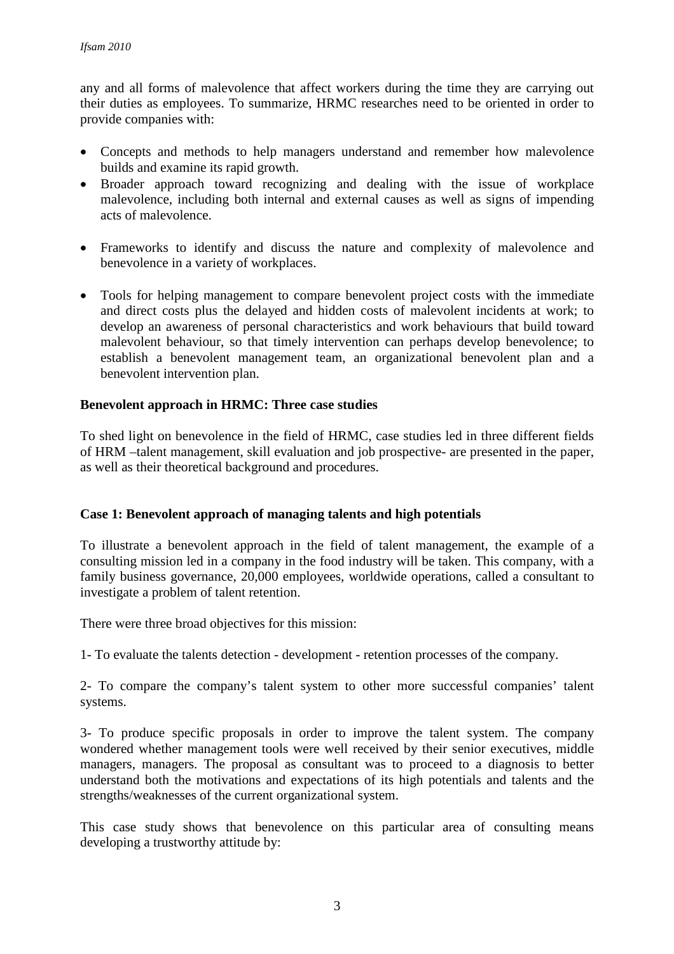any and all forms of malevolence that affect workers during the time they are carrying out their duties as employees. To summarize, HRMC researches need to be oriented in order to provide companies with:

- Concepts and methods to help managers understand and remember how malevolence builds and examine its rapid growth.
- Broader approach toward recognizing and dealing with the issue of workplace malevolence, including both internal and external causes as well as signs of impending acts of malevolence.
- Frameworks to identify and discuss the nature and complexity of malevolence and benevolence in a variety of workplaces.
- Tools for helping management to compare benevolent project costs with the immediate and direct costs plus the delayed and hidden costs of malevolent incidents at work; to develop an awareness of personal characteristics and work behaviours that build toward malevolent behaviour, so that timely intervention can perhaps develop benevolence; to establish a benevolent management team, an organizational benevolent plan and a benevolent intervention plan.

### **Benevolent approach in HRMC: Three case studies**

To shed light on benevolence in the field of HRMC, case studies led in three different fields of HRM –talent management, skill evaluation and job prospective- are presented in the paper, as well as their theoretical background and procedures.

#### **Case 1: Benevolent approach of managing talents and high potentials**

To illustrate a benevolent approach in the field of talent management, the example of a consulting mission led in a company in the food industry will be taken. This company, with a family business governance, 20,000 employees, worldwide operations, called a consultant to investigate a problem of talent retention.

There were three broad objectives for this mission:

1- To evaluate the talents detection - development - retention processes of the company.

2- To compare the company's talent system to other more successful companies' talent systems.

3- To produce specific proposals in order to improve the talent system. The company wondered whether management tools were well received by their senior executives, middle managers, managers. The proposal as consultant was to proceed to a diagnosis to better understand both the motivations and expectations of its high potentials and talents and the strengths/weaknesses of the current organizational system.

This case study shows that benevolence on this particular area of consulting means developing a trustworthy attitude by: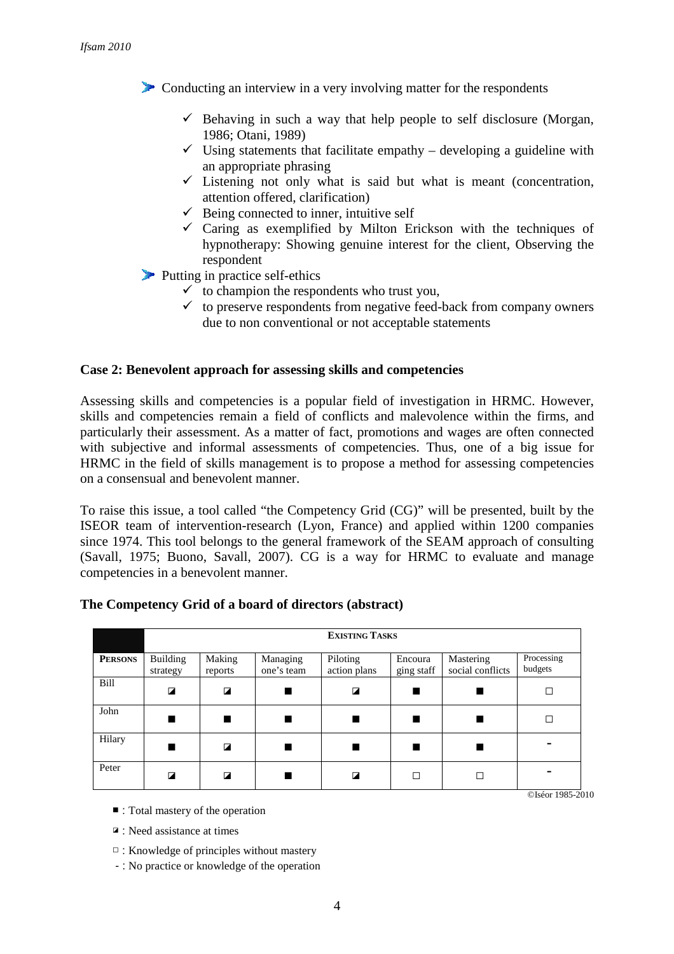Conducting an interview in a very involving matter for the respondents

- $\checkmark$  Behaving in such a way that help people to self disclosure (Morgan, 1986; Otani, 1989)
- $\checkmark$  Using statements that facilitate empathy developing a guideline with an appropriate phrasing
- $\checkmark$  Listening not only what is said but what is meant (concentration, attention offered, clarification)
- $\checkmark$  Being connected to inner, intuitive self
- $\checkmark$  Caring as exemplified by Milton Erickson with the techniques of hypnotherapy: Showing genuine interest for the client, Observing the respondent

Putting in practice self-ethics

- $\checkmark$  to champion the respondents who trust you,
- $\checkmark$  to preserve respondents from negative feed-back from company owners due to non conventional or not acceptable statements

#### **Case 2: Benevolent approach for assessing skills and competencies**

Assessing skills and competencies is a popular field of investigation in HRMC. However, skills and competencies remain a field of conflicts and malevolence within the firms, and particularly their assessment. As a matter of fact, promotions and wages are often connected with subjective and informal assessments of competencies. Thus, one of a big issue for HRMC in the field of skills management is to propose a method for assessing competencies on a consensual and benevolent manner.

To raise this issue, a tool called "the Competency Grid (CG)" will be presented, built by the ISEOR team of intervention-research (Lyon, France) and applied within 1200 companies since 1974. This tool belongs to the general framework of the SEAM approach of consulting (Savall, 1975; Buono, Savall, 2007). CG is a way for HRMC to evaluate and manage competencies in a benevolent manner.

|                | <b>EXISTING TASKS</b>       |                         |                        |                          |                       |                               |                       |
|----------------|-----------------------------|-------------------------|------------------------|--------------------------|-----------------------|-------------------------------|-----------------------|
| <b>PERSONS</b> | <b>Building</b><br>strategy | Making<br>reports       | Managing<br>one's team | Piloting<br>action plans | Encoura<br>ging staff | Mastering<br>social conflicts | Processing<br>budgets |
| Bill           | ◪                           | $\overline{\mathbf{z}}$ |                        | $\overline{\mathbf{z}}$  |                       |                               | Г                     |
| John           |                             |                         |                        |                          |                       |                               |                       |
| Hilary         |                             | $\overline{a}$          |                        |                          |                       |                               |                       |
| Peter          | ◪                           | $\overline{a}$          |                        | ◪                        | $\Box$                | □                             |                       |

#### **The Competency Grid of a board of directors (abstract)**

- : Total mastery of the operation
- ◪ : Need assistance at times
- □ : Knowledge of principles without mastery
- : No practice or knowledge of the operation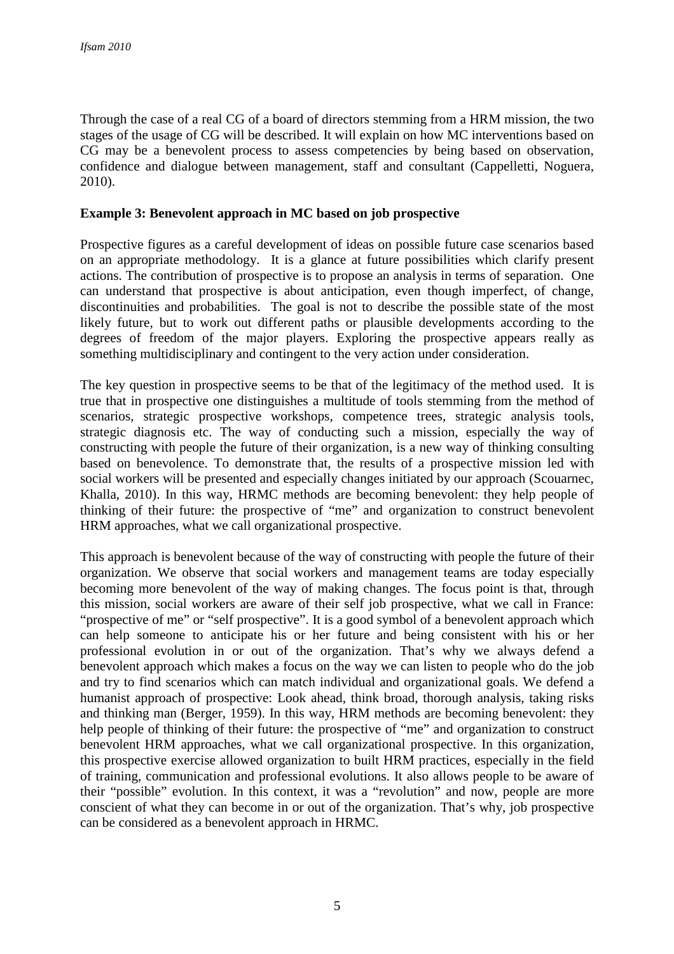Through the case of a real CG of a board of directors stemming from a HRM mission, the two stages of the usage of CG will be described. It will explain on how MC interventions based on CG may be a benevolent process to assess competencies by being based on observation, confidence and dialogue between management, staff and consultant (Cappelletti, Noguera, 2010).

#### **Example 3: Benevolent approach in MC based on job prospective**

Prospective figures as a careful development of ideas on possible future case scenarios based on an appropriate methodology. It is a glance at future possibilities which clarify present actions. The contribution of prospective is to propose an analysis in terms of separation. One can understand that prospective is about anticipation, even though imperfect, of change, discontinuities and probabilities. The goal is not to describe the possible state of the most likely future, but to work out different paths or plausible developments according to the degrees of freedom of the major players. Exploring the prospective appears really as something multidisciplinary and contingent to the very action under consideration.

The key question in prospective seems to be that of the legitimacy of the method used. It is true that in prospective one distinguishes a multitude of tools stemming from the method of scenarios, strategic prospective workshops, competence trees, strategic analysis tools, strategic diagnosis etc. The way of conducting such a mission, especially the way of constructing with people the future of their organization, is a new way of thinking consulting based on benevolence. To demonstrate that, the results of a prospective mission led with social workers will be presented and especially changes initiated by our approach (Scouarnec, Khalla, 2010). In this way, HRMC methods are becoming benevolent: they help people of thinking of their future: the prospective of "me" and organization to construct benevolent HRM approaches, what we call organizational prospective.

This approach is benevolent because of the way of constructing with people the future of their organization. We observe that social workers and management teams are today especially becoming more benevolent of the way of making changes. The focus point is that, through this mission, social workers are aware of their self job prospective, what we call in France: "prospective of me" or "self prospective". It is a good symbol of a benevolent approach which can help someone to anticipate his or her future and being consistent with his or her professional evolution in or out of the organization. That's why we always defend a benevolent approach which makes a focus on the way we can listen to people who do the job and try to find scenarios which can match individual and organizational goals. We defend a humanist approach of prospective: Look ahead, think broad, thorough analysis, taking risks and thinking man (Berger, 1959). In this way, HRM methods are becoming benevolent: they help people of thinking of their future: the prospective of "me" and organization to construct benevolent HRM approaches, what we call organizational prospective. In this organization, this prospective exercise allowed organization to built HRM practices, especially in the field of training, communication and professional evolutions. It also allows people to be aware of their "possible" evolution. In this context, it was a "revolution" and now, people are more conscient of what they can become in or out of the organization. That's why, job prospective can be considered as a benevolent approach in HRMC.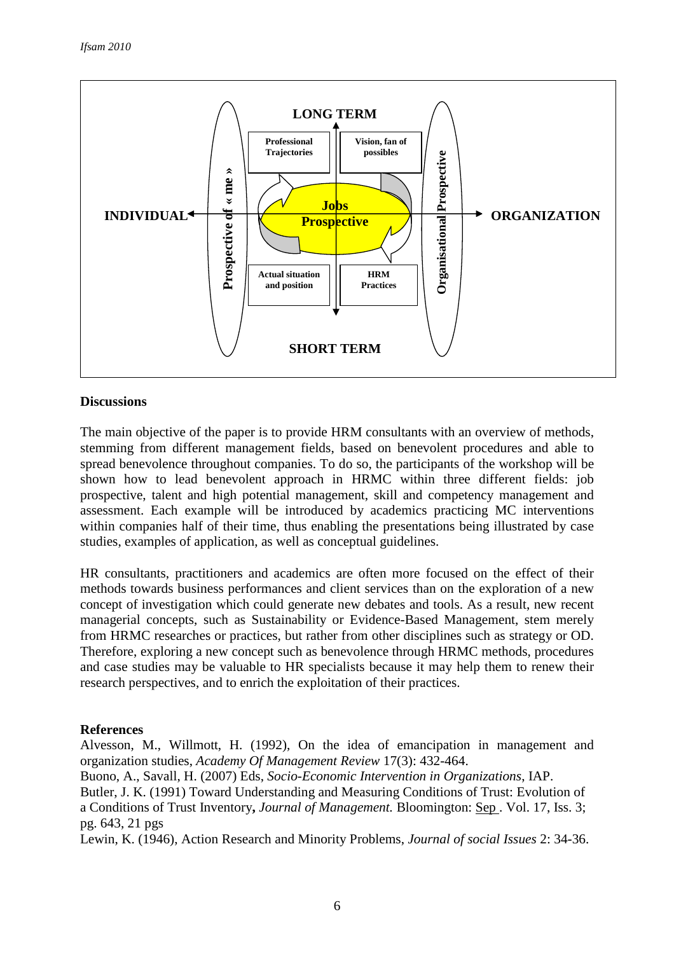

### **Discussions**

The main objective of the paper is to provide HRM consultants with an overview of methods, stemming from different management fields, based on benevolent procedures and able to spread benevolence throughout companies. To do so, the participants of the workshop will be shown how to lead benevolent approach in HRMC within three different fields: job prospective, talent and high potential management, skill and competency management and assessment. Each example will be introduced by academics practicing MC interventions within companies half of their time, thus enabling the presentations being illustrated by case studies, examples of application, as well as conceptual guidelines.

HR consultants, practitioners and academics are often more focused on the effect of their methods towards business performances and client services than on the exploration of a new concept of investigation which could generate new debates and tools. As a result, new recent managerial concepts, such as Sustainability or Evidence-Based Management, stem merely from HRMC researches or practices, but rather from other disciplines such as strategy or OD. Therefore, exploring a new concept such as benevolence through HRMC methods, procedures and case studies may be valuable to HR specialists because it may help them to renew their research perspectives, and to enrich the exploitation of their practices.

#### **References**

Alvesson, M., Willmott, H. (1992), On the idea of emancipation in management and organization studies, *Academy Of Management Review* 17(3): 432-464.

Buono, A., Savall, H. (2007) Eds, *Socio-Economic Intervention in Organizations*, IAP.

Butler, J. K. (1991) Toward Understanding and Measuring Conditions of Trust: Evolution of a Conditions of Trust Inventory**,** *Journal of Management.* Bloomington: Sep . Vol. 17, Iss. 3; pg. 643, 21 pgs

Lewin, K. (1946), Action Research and Minority Problems, *Journal of social Issues* 2: 34-36.